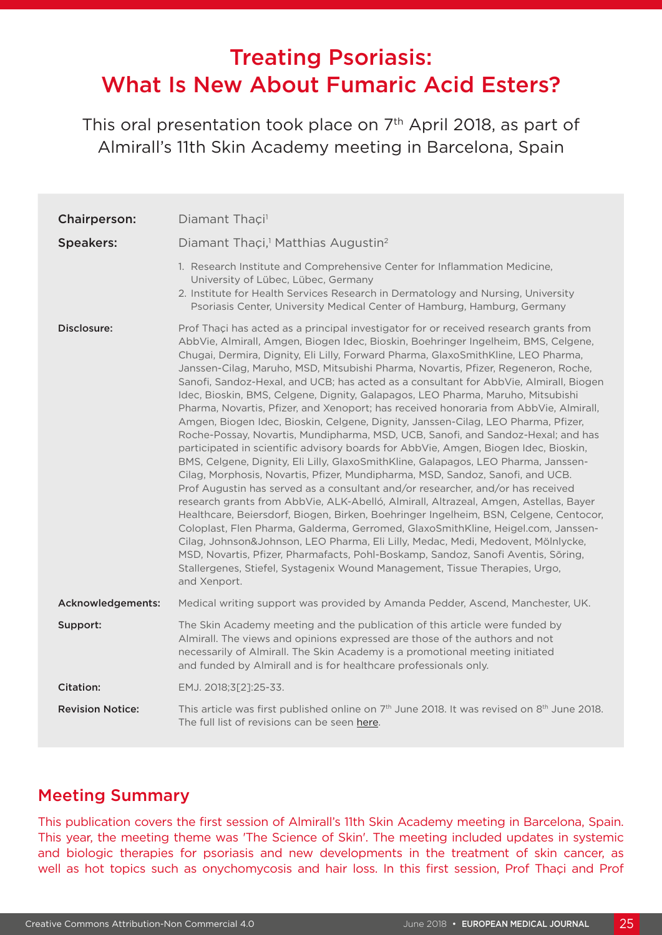# Treating Psoriasis: What Is New About Fumaric Acid Esters?

This oral presentation took place on 7<sup>th</sup> April 2018, as part of Almirall's 11th Skin Academy meeting in Barcelona, Spain

| Chairperson:            | Diamant Thaçi <sup>1</sup>                                                                                                                                                                                                                                                                                                                                                                                                                                                                                                                                                                                                                                                                                                                                                                                                                                                                                                                                                                                                                                                                                                                                                                                                                                                                                                                                                                                                                                                                                                                                                                                                                                                                           |
|-------------------------|------------------------------------------------------------------------------------------------------------------------------------------------------------------------------------------------------------------------------------------------------------------------------------------------------------------------------------------------------------------------------------------------------------------------------------------------------------------------------------------------------------------------------------------------------------------------------------------------------------------------------------------------------------------------------------------------------------------------------------------------------------------------------------------------------------------------------------------------------------------------------------------------------------------------------------------------------------------------------------------------------------------------------------------------------------------------------------------------------------------------------------------------------------------------------------------------------------------------------------------------------------------------------------------------------------------------------------------------------------------------------------------------------------------------------------------------------------------------------------------------------------------------------------------------------------------------------------------------------------------------------------------------------------------------------------------------------|
| <b>Speakers:</b>        | Diamant Thaçi, <sup>1</sup> Matthias Augustin <sup>2</sup>                                                                                                                                                                                                                                                                                                                                                                                                                                                                                                                                                                                                                                                                                                                                                                                                                                                                                                                                                                                                                                                                                                                                                                                                                                                                                                                                                                                                                                                                                                                                                                                                                                           |
|                         | 1. Research Institute and Comprehensive Center for Inflammation Medicine,<br>University of Lübec, Lübec, Germany<br>2. Institute for Health Services Research in Dermatology and Nursing, University<br>Psoriasis Center, University Medical Center of Hamburg, Hamburg, Germany                                                                                                                                                                                                                                                                                                                                                                                                                                                                                                                                                                                                                                                                                                                                                                                                                                                                                                                                                                                                                                                                                                                                                                                                                                                                                                                                                                                                                     |
| Disclosure:             | Prof Thaçi has acted as a principal investigator for or received research grants from<br>AbbVie, Almirall, Amgen, Biogen Idec, Bioskin, Boehringer Ingelheim, BMS, Celgene,<br>Chugai, Dermira, Dignity, Eli Lilly, Forward Pharma, GlaxoSmithKline, LEO Pharma,<br>Janssen-Cilag, Maruho, MSD, Mitsubishi Pharma, Novartis, Pfizer, Regeneron, Roche,<br>Sanofi, Sandoz-Hexal, and UCB; has acted as a consultant for AbbVie, Almirall, Biogen<br>Idec, Bioskin, BMS, Celgene, Dignity, Galapagos, LEO Pharma, Maruho, Mitsubishi<br>Pharma, Novartis, Pfizer, and Xenoport; has received honoraria from AbbVie, Almirall,<br>Amgen, Biogen Idec, Bioskin, Celgene, Dignity, Janssen-Cilag, LEO Pharma, Pfizer,<br>Roche-Possay, Novartis, Mundipharma, MSD, UCB, Sanofi, and Sandoz-Hexal; and has<br>participated in scientific advisory boards for AbbVie, Amgen, Biogen Idec, Bioskin,<br>BMS, Celgene, Dignity, Eli Lilly, GlaxoSmithKline, Galapagos, LEO Pharma, Janssen-<br>Cilag, Morphosis, Novartis, Pfizer, Mundipharma, MSD, Sandoz, Sanofi, and UCB.<br>Prof Augustin has served as a consultant and/or researcher, and/or has received<br>research grants from AbbVie, ALK-Abelló, Almirall, Altrazeal, Amgen, Astellas, Bayer<br>Healthcare, Beiersdorf, Biogen, Birken, Boehringer Ingelheim, BSN, Celgene, Centocor,<br>Coloplast, Flen Pharma, Galderma, Gerromed, GlaxoSmithKline, Heigel.com, Janssen-<br>Cilag, Johnson&Johnson, LEO Pharma, Eli Lilly, Medac, Medi, Medovent, Mölnlycke,<br>MSD, Novartis, Pfizer, Pharmafacts, Pohl-Boskamp, Sandoz, Sanofi Aventis, Söring,<br>Stallergenes, Stiefel, Systagenix Wound Management, Tissue Therapies, Urgo,<br>and Xenport. |
| Acknowledgements:       | Medical writing support was provided by Amanda Pedder, Ascend, Manchester, UK.                                                                                                                                                                                                                                                                                                                                                                                                                                                                                                                                                                                                                                                                                                                                                                                                                                                                                                                                                                                                                                                                                                                                                                                                                                                                                                                                                                                                                                                                                                                                                                                                                       |
| Support:                | The Skin Academy meeting and the publication of this article were funded by<br>Almirall. The views and opinions expressed are those of the authors and not<br>necessarily of Almirall. The Skin Academy is a promotional meeting initiated<br>and funded by Almirall and is for healthcare professionals only.                                                                                                                                                                                                                                                                                                                                                                                                                                                                                                                                                                                                                                                                                                                                                                                                                                                                                                                                                                                                                                                                                                                                                                                                                                                                                                                                                                                       |
| <b>Citation:</b>        | EMJ. 2018;3[2]:25-33.                                                                                                                                                                                                                                                                                                                                                                                                                                                                                                                                                                                                                                                                                                                                                                                                                                                                                                                                                                                                                                                                                                                                                                                                                                                                                                                                                                                                                                                                                                                                                                                                                                                                                |
| <b>Revision Notice:</b> | This article was first published online on 7 <sup>th</sup> June 2018. It was revised on 8 <sup>th</sup> June 2018.<br>The full list of revisions can be seen here.                                                                                                                                                                                                                                                                                                                                                                                                                                                                                                                                                                                                                                                                                                                                                                                                                                                                                                                                                                                                                                                                                                                                                                                                                                                                                                                                                                                                                                                                                                                                   |

# Meeting Summary

This publication covers the first session of Almirall's 11th Skin Academy meeting in Barcelona, Spain. This year, the meeting theme was 'The Science of Skin'. The meeting included updates in systemic and biologic therapies for psoriasis and new developments in the treatment of skin cancer, as well as hot topics such as onychomycosis and hair loss. In this first session, Prof Thaçi and Prof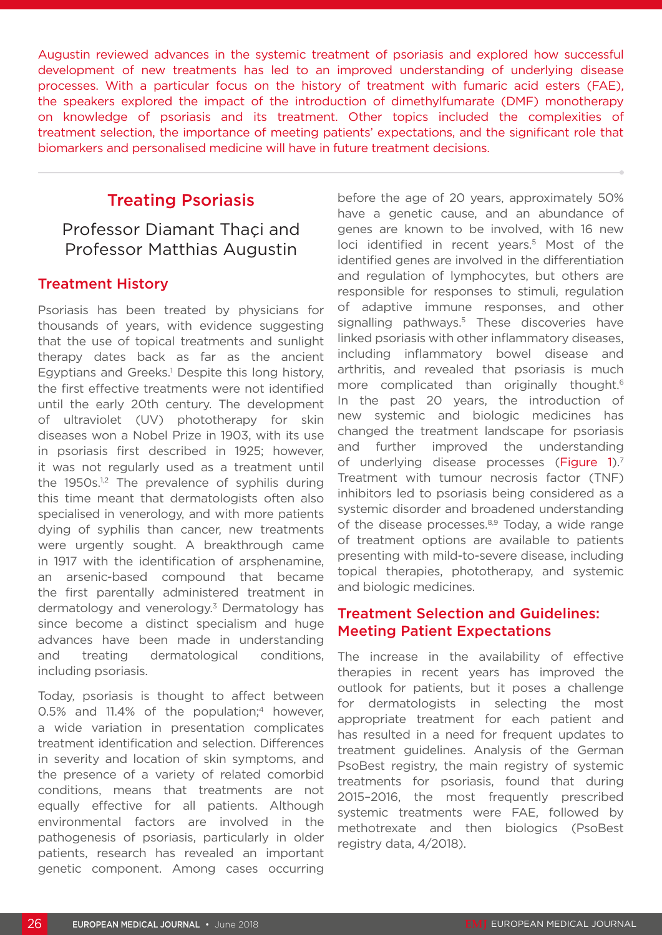Augustin reviewed advances in the systemic treatment of psoriasis and explored how successful development of new treatments has led to an improved understanding of underlying disease processes. With a particular focus on the history of treatment with fumaric acid esters (FAE), the speakers explored the impact of the introduction of dimethylfumarate (DMF) monotherapy on knowledge of psoriasis and its treatment. Other topics included the complexities of treatment selection, the importance of meeting patients' expectations, and the significant role that biomarkers and personalised medicine will have in future treatment decisions.

# Treating Psoriasis

Professor Diamant Thaçi and Professor Matthias Augustin

### Treatment History

Psoriasis has been treated by physicians for thousands of years, with evidence suggesting that the use of topical treatments and sunlight therapy dates back as far as the ancient Egyptians and Greeks.<sup>1</sup> Despite this long history, the first effective treatments were not identified until the early 20th century. The development of ultraviolet (UV) phototherapy for skin diseases won a Nobel Prize in 1903, with its use in psoriasis first described in 1925; however, it was not regularly used as a treatment until the  $1950s$ <sup>1,2</sup> The prevalence of syphilis during this time meant that dermatologists often also specialised in venerology, and with more patients dying of syphilis than cancer, new treatments were urgently sought. A breakthrough came in 1917 with the identification of arsphenamine, an arsenic-based compound that became the first parentally administered treatment in dermatology and venerology.<sup>3</sup> Dermatology has since become a distinct specialism and huge advances have been made in understanding and treating dermatological conditions, including psoriasis.

Today, psoriasis is thought to affect between 0.5% and 11.4% of the population;<sup>4</sup> however, a wide variation in presentation complicates treatment identification and selection. Differences in severity and location of skin symptoms, and the presence of a variety of related comorbid conditions, means that treatments are not equally effective for all patients. Although environmental factors are involved in the pathogenesis of psoriasis, particularly in older patients, research has revealed an important genetic component. Among cases occurring

before the age of 20 years, approximately 50% have a genetic cause, and an abundance of genes are known to be involved, with 16 new loci identified in recent years.<sup>5</sup> Most of the identified genes are involved in the differentiation and regulation of lymphocytes, but others are responsible for responses to stimuli, regulation of adaptive immune responses, and other signalling pathways.<sup>5</sup> These discoveries have linked psoriasis with other inflammatory diseases, including inflammatory bowel disease and arthritis, and revealed that psoriasis is much more complicated than originally thought.<sup>6</sup> In the past 20 years, the introduction of new systemic and biologic medicines has changed the treatment landscape for psoriasis and further improved the understanding of underlying disease processes (Figure 1).<sup>7</sup> Treatment with tumour necrosis factor (TNF) inhibitors led to psoriasis being considered as a systemic disorder and broadened understanding of the disease processes. $8,9$  Today, a wide range of treatment options are available to patients presenting with mild-to-severe disease, including topical therapies, phototherapy, and systemic and biologic medicines.

### Treatment Selection and Guidelines: Meeting Patient Expectations

The increase in the availability of effective therapies in recent years has improved the outlook for patients, but it poses a challenge for dermatologists in selecting the most appropriate treatment for each patient and has resulted in a need for frequent updates to treatment guidelines. Analysis of the German PsoBest registry, the main registry of systemic treatments for psoriasis, found that during 2015–2016, the most frequently prescribed systemic treatments were FAE, followed by methotrexate and then biologics (PsoBest registry data, 4/2018).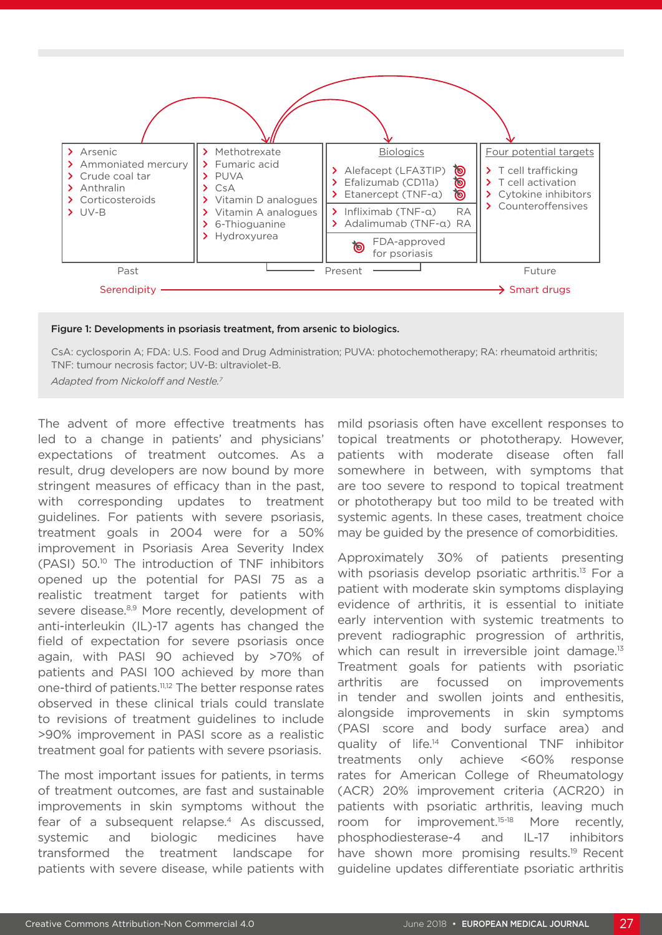

Figure 1: Developments in psoriasis treatment, from arsenic to biologics.

CsA: cyclosporin A; FDA: U.S. Food and Drug Administration; PUVA: photochemotherapy; RA: rheumatoid arthritis; TNF: tumour necrosis factor; UV-B: ultraviolet-B.

*Adapted from Nickoloff and Nestle.7*

The advent of more effective treatments has led to a change in patients' and physicians' expectations of treatment outcomes. As a result, drug developers are now bound by more stringent measures of efficacy than in the past, with corresponding updates to treatment guidelines. For patients with severe psoriasis, treatment goals in 2004 were for a 50% improvement in Psoriasis Area Severity Index (PASI) 50.10 The introduction of TNF inhibitors opened up the potential for PASI 75 as a realistic treatment target for patients with severe disease.<sup>8,9</sup> More recently, development of anti-interleukin (IL)-17 agents has changed the field of expectation for severe psoriasis once again, with PASI 90 achieved by >70% of patients and PASI 100 achieved by more than one-third of patients.11,12 The better response rates observed in these clinical trials could translate to revisions of treatment guidelines to include >90% improvement in PASI score as a realistic treatment goal for patients with severe psoriasis.

The most important issues for patients, in terms of treatment outcomes, are fast and sustainable improvements in skin symptoms without the fear of a subsequent relapse.<sup>4</sup> As discussed, systemic and biologic medicines have transformed the treatment landscape for patients with severe disease, while patients with mild psoriasis often have excellent responses to topical treatments or phototherapy. However, patients with moderate disease often fall somewhere in between, with symptoms that are too severe to respond to topical treatment or phototherapy but too mild to be treated with systemic agents. In these cases, treatment choice may be guided by the presence of comorbidities.

Approximately 30% of patients presenting with psoriasis develop psoriatic arthritis.<sup>13</sup> For a patient with moderate skin symptoms displaying evidence of arthritis, it is essential to initiate early intervention with systemic treatments to prevent radiographic progression of arthritis, which can result in irreversible joint damage.<sup>13</sup> Treatment goals for patients with psoriatic arthritis are focussed on improvements in tender and swollen joints and enthesitis, alongside improvements in skin symptoms (PASI score and body surface area) and quality of life.14 Conventional TNF inhibitor treatments only achieve <60% response rates for American College of Rheumatology (ACR) 20% improvement criteria (ACR20) in patients with psoriatic arthritis, leaving much room for improvement.15-18 More recently, phosphodiesterase-4 and IL-17 inhibitors have shown more promising results.<sup>19</sup> Recent guideline updates differentiate psoriatic arthritis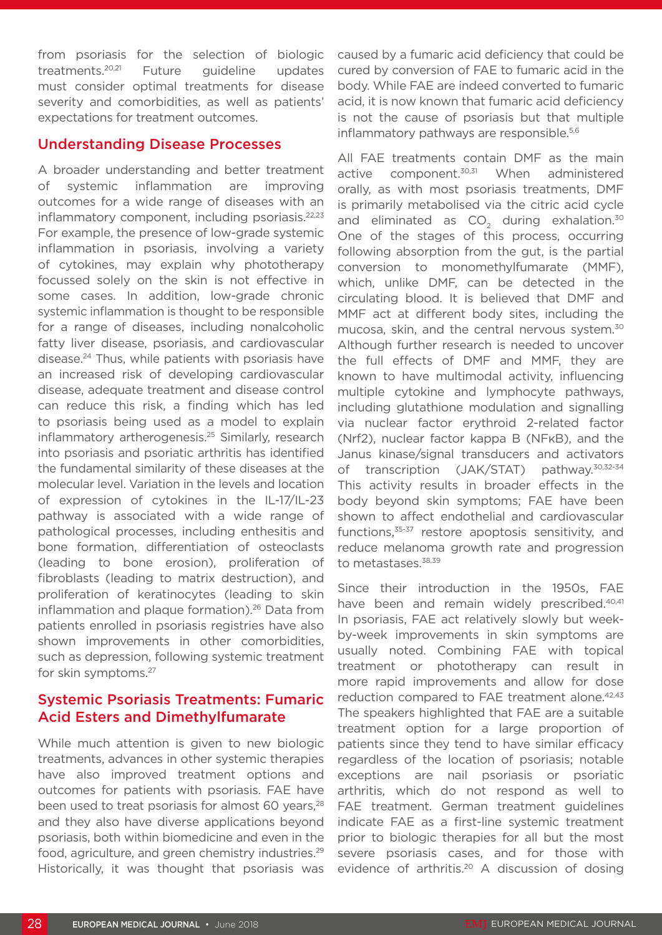from psoriasis for the selection of biologic treatments.20,21 Future guideline updates must consider optimal treatments for disease severity and comorbidities, as well as patients' expectations for treatment outcomes.

### Understanding Disease Processes

A broader understanding and better treatment of systemic inflammation are improving outcomes for a wide range of diseases with an inflammatory component, including psoriasis.<sup>22,23</sup> For example, the presence of low-grade systemic inflammation in psoriasis, involving a variety of cytokines, may explain why phototherapy focussed solely on the skin is not effective in some cases. In addition, low-grade chronic systemic inflammation is thought to be responsible for a range of diseases, including nonalcoholic fatty liver disease, psoriasis, and cardiovascular disease.24 Thus, while patients with psoriasis have an increased risk of developing cardiovascular disease, adequate treatment and disease control can reduce this risk, a finding which has led to psoriasis being used as a model to explain inflammatory artherogenesis.<sup>25</sup> Similarly, research into psoriasis and psoriatic arthritis has identified the fundamental similarity of these diseases at the molecular level. Variation in the levels and location of expression of cytokines in the IL-17/IL-23 pathway is associated with a wide range of pathological processes, including enthesitis and bone formation, differentiation of osteoclasts (leading to bone erosion), proliferation of fibroblasts (leading to matrix destruction), and proliferation of keratinocytes (leading to skin inflammation and plaque formation).<sup>26</sup> Data from patients enrolled in psoriasis registries have also shown improvements in other comorbidities, such as depression, following systemic treatment for skin symptoms.27

# Systemic Psoriasis Treatments: Fumaric Acid Esters and Dimethylfumarate

While much attention is given to new biologic treatments, advances in other systemic therapies have also improved treatment options and outcomes for patients with psoriasis. FAE have been used to treat psoriasis for almost 60 years,<sup>28</sup> and they also have diverse applications beyond psoriasis, both within biomedicine and even in the food, agriculture, and green chemistry industries.29 Historically, it was thought that psoriasis was

caused by a fumaric acid deficiency that could be cured by conversion of FAE to fumaric acid in the body. While FAE are indeed converted to fumaric acid, it is now known that fumaric acid deficiency is not the cause of psoriasis but that multiple inflammatory pathways are responsible.<sup>5,6</sup>

All FAE treatments contain DMF as the main active component.<sup>30,31</sup> When administered orally, as with most psoriasis treatments, DMF is primarily metabolised via the citric acid cycle and eliminated as  $CO<sub>2</sub>$  during exhalation.<sup>30</sup> One of the stages of this process, occurring following absorption from the gut, is the partial conversion to monomethylfumarate (MMF), which, unlike DMF, can be detected in the circulating blood. It is believed that DMF and MMF act at different body sites, including the mucosa, skin, and the central nervous system.30 Although further research is needed to uncover the full effects of DMF and MMF, they are known to have multimodal activity, influencing multiple cytokine and lymphocyte pathways, including glutathione modulation and signalling via nuclear factor erythroid 2-related factor (Nrf2), nuclear factor kappa B (NFκB), and the Janus kinase/signal transducers and activators of transcription (JAK/STAT) pathway.<sup>30,32-34</sup> This activity results in broader effects in the body beyond skin symptoms; FAE have been shown to affect endothelial and cardiovascular functions,<sup>35-37</sup> restore apoptosis sensitivity, and reduce melanoma growth rate and progression to metastases.<sup>38,39</sup>

Since their introduction in the 1950s, FAE have been and remain widely prescribed.<sup>40,41</sup> In psoriasis, FAE act relatively slowly but weekby-week improvements in skin symptoms are usually noted. Combining FAE with topical treatment or phototherapy can result in more rapid improvements and allow for dose reduction compared to FAE treatment alone.<sup>42,43</sup> The speakers highlighted that FAE are a suitable treatment option for a large proportion of patients since they tend to have similar efficacy regardless of the location of psoriasis; notable exceptions are nail psoriasis or psoriatic arthritis, which do not respond as well to FAE treatment. German treatment guidelines indicate FAE as a first-line systemic treatment prior to biologic therapies for all but the most severe psoriasis cases, and for those with evidence of arthritis.<sup>20</sup> A discussion of dosing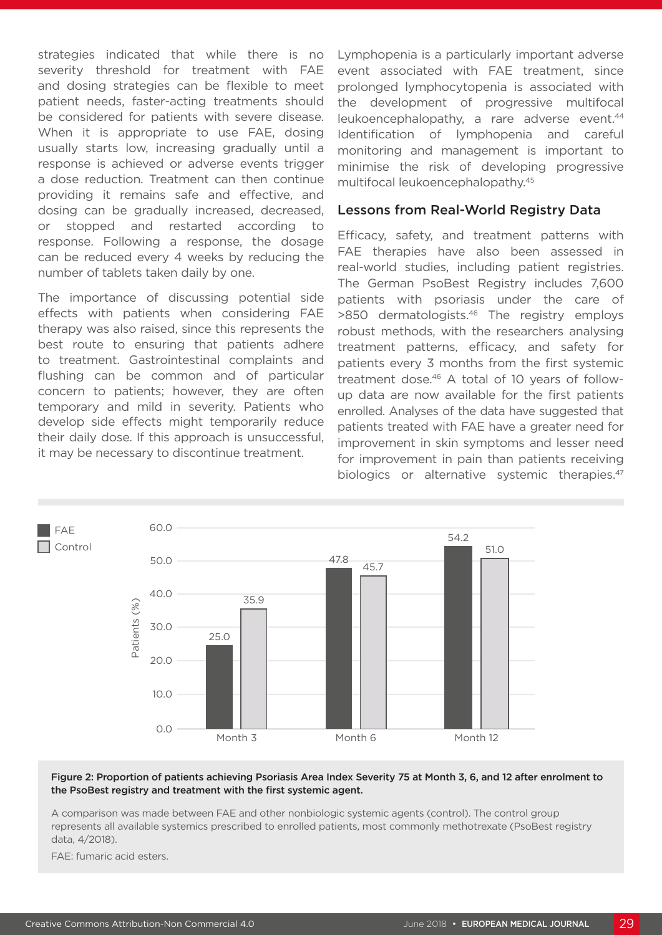strategies indicated that while there is no severity threshold for treatment with FAE and dosing strategies can be flexible to meet patient needs, faster-acting treatments should be considered for patients with severe disease. When it is appropriate to use FAE, dosing usually starts low, increasing gradually until a response is achieved or adverse events trigger a dose reduction. Treatment can then continue providing it remains safe and effective, and dosing can be gradually increased, decreased, or stopped and restarted according to response. Following a response, the dosage can be reduced every 4 weeks by reducing the number of tablets taken daily by one.

The importance of discussing potential side effects with patients when considering FAE therapy was also raised, since this represents the best route to ensuring that patients adhere to treatment. Gastrointestinal complaints and flushing can be common and of particular concern to patients; however, they are often temporary and mild in severity. Patients who develop side effects might temporarily reduce their daily dose. If this approach is unsuccessful, it may be necessary to discontinue treatment.

Lymphopenia is a particularly important adverse event associated with FAE treatment, since prolonged lymphocytopenia is associated with the development of progressive multifocal leukoencephalopathy, a rare adverse event.<sup>44</sup> Identification of lymphopenia and careful monitoring and management is important to minimise the risk of developing progressive multifocal leukoencephalopathy.45

#### Lessons from Real-World Registry Data

Efficacy, safety, and treatment patterns with FAE therapies have also been assessed in real-world studies, including patient registries. The German PsoBest Registry includes 7,600 patients with psoriasis under the care of >850 dermatologists.46 The registry employs robust methods, with the researchers analysing treatment patterns, efficacy, and safety for patients every 3 months from the first systemic treatment dose.<sup>46</sup> A total of 10 years of followup data are now available for the first patients enrolled. Analyses of the data have suggested that patients treated with FAE have a greater need for improvement in skin symptoms and lesser need for improvement in pain than patients receiving biologics or alternative systemic therapies.<sup>47</sup>



#### Figure 2: Proportion of patients achieving Psoriasis Area Index Severity 75 at Month 3, 6, and 12 after enrolment to the PsoBest registry and treatment with the first systemic agent.

A comparison was made between FAE and other nonbiologic systemic agents (control). The control group represents all available systemics prescribed to enrolled patients, most commonly methotrexate (PsoBest registry data, 4/2018).

FAE: fumaric acid esters.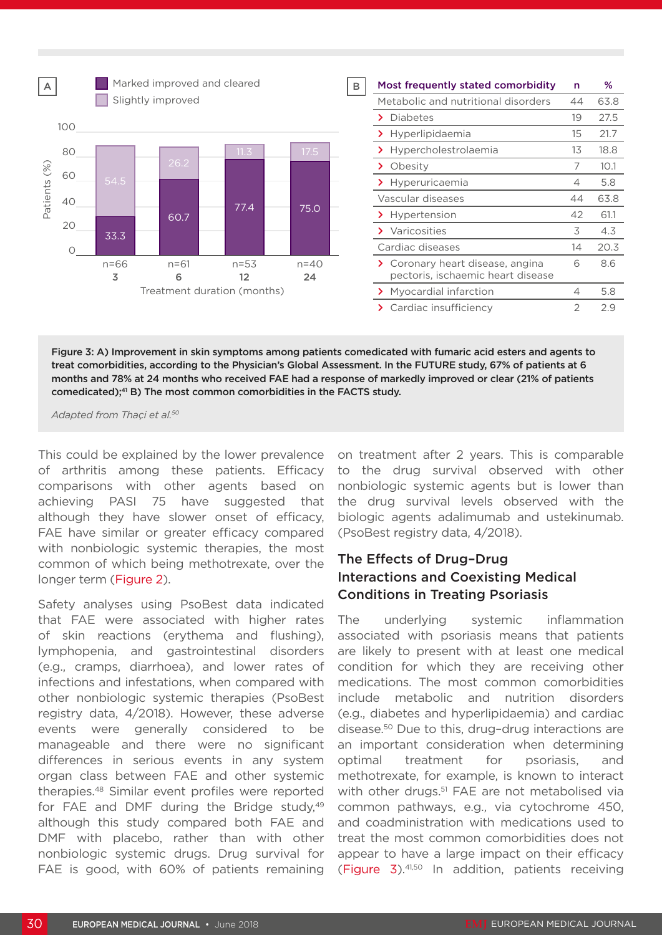

Figure 3: A) Improvement in skin symptoms among patients comedicated with fumaric acid esters and agents to treat comorbidities, according to the Physician's Global Assessment. In the FUTURE study, 67% of patients at 6 months and 78% at 24 months who received FAE had a response of markedly improved or clear (21% of patients comedicated); $41$  B) The most common comorbidities in the FACTS study.

*Adapted from Thaçi et al.50*

This could be explained by the lower prevalence of arthritis among these patients. Efficacy comparisons with other agents based on achieving PASI 75 have suggested that although they have slower onset of efficacy, FAE have similar or greater efficacy compared with nonbiologic systemic therapies, the most common of which being methotrexate, over the longer term (Figure 2).

Safety analyses using PsoBest data indicated that FAE were associated with higher rates of skin reactions (erythema and flushing), lymphopenia, and gastrointestinal disorders (e.g., cramps, diarrhoea), and lower rates of infections and infestations, when compared with other nonbiologic systemic therapies (PsoBest registry data, 4/2018). However, these adverse events were generally considered to be manageable and there were no significant differences in serious events in any system organ class between FAE and other systemic therapies.48 Similar event profiles were reported for FAE and DMF during the Bridge study, $49$ although this study compared both FAE and DMF with placebo, rather than with other nonbiologic systemic drugs. Drug survival for FAE is good, with 60% of patients remaining

on treatment after 2 years. This is comparable to the drug survival observed with other nonbiologic systemic agents but is lower than the drug survival levels observed with the biologic agents adalimumab and ustekinumab. (PsoBest registry data, 4/2018).

## The Effects of Drug–Drug Interactions and Coexisting Medical Conditions in Treating Psoriasis

The underlying systemic inflammation associated with psoriasis means that patients are likely to present with at least one medical condition for which they are receiving other medications. The most common comorbidities include metabolic and nutrition disorders (e.g., diabetes and hyperlipidaemia) and cardiac disease.50 Due to this, drug–drug interactions are an important consideration when determining optimal treatment for psoriasis, and methotrexate, for example, is known to interact with other drugs.<sup>51</sup> FAE are not metabolised via common pathways, e.g., via cytochrome 450, and coadministration with medications used to treat the most common comorbidities does not appear to have a large impact on their efficacy (Figure 3).41,50 In addition, patients receiving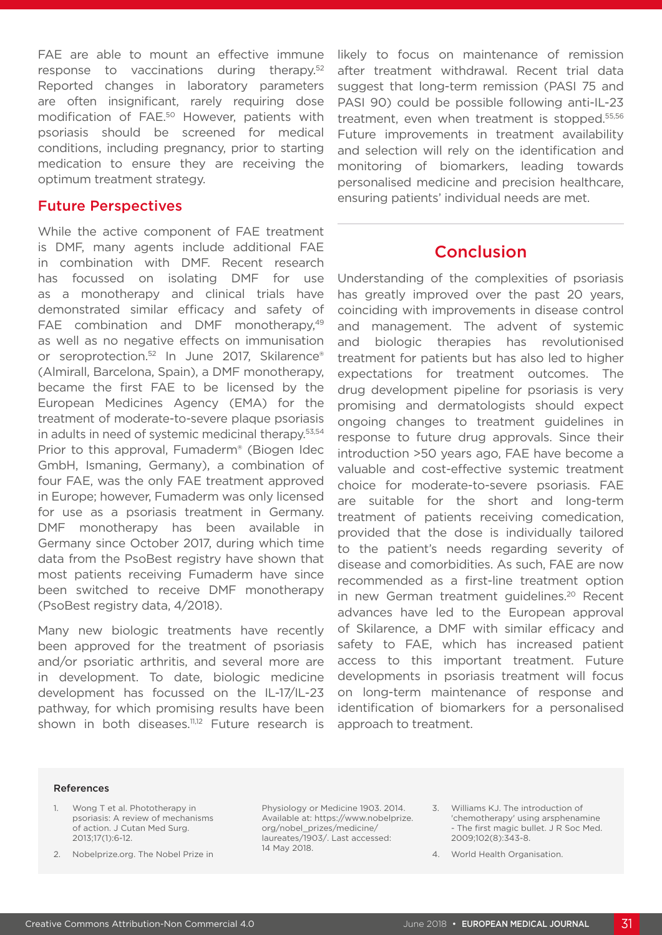FAE are able to mount an effective immune response to vaccinations during therapy.52 Reported changes in laboratory parameters are often insignificant, rarely requiring dose modification of FAE.50 However, patients with psoriasis should be screened for medical conditions, including pregnancy, prior to starting medication to ensure they are receiving the optimum treatment strategy.

#### Future Perspectives

While the active component of FAE treatment is DMF, many agents include additional FAE in combination with DMF. Recent research has focussed on isolating DMF for use as a monotherapy and clinical trials have demonstrated similar efficacy and safety of FAE combination and DMF monotherapy,<sup>49</sup> as well as no negative effects on immunisation or seroprotection.<sup>52</sup> In June 2017, Skilarence® (Almirall, Barcelona, Spain), a DMF monotherapy, became the first FAE to be licensed by the European Medicines Agency (EMA) for the treatment of moderate-to-severe plaque psoriasis in adults in need of systemic medicinal therapy.<sup>53,54</sup> Prior to this approval, Fumaderm® (Biogen Idec GmbH, Ismaning, Germany), a combination of four FAE, was the only FAE treatment approved in Europe; however, Fumaderm was only licensed for use as a psoriasis treatment in Germany. DMF monotherapy has been available in Germany since October 2017, during which time data from the PsoBest registry have shown that most patients receiving Fumaderm have since been switched to receive DMF monotherapy (PsoBest registry data, 4/2018).

Many new biologic treatments have recently been approved for the treatment of psoriasis and/or psoriatic arthritis, and several more are in development. To date, biologic medicine development has focussed on the IL-17/IL-23 pathway, for which promising results have been shown in both diseases.<sup>11,12</sup> Future research is

likely to focus on maintenance of remission after treatment withdrawal. Recent trial data suggest that long-term remission (PASI 75 and PASI 90) could be possible following anti-IL-23 treatment, even when treatment is stopped.<sup>55,56</sup> Future improvements in treatment availability and selection will rely on the identification and monitoring of biomarkers, leading towards personalised medicine and precision healthcare, ensuring patients' individual needs are met.

# Conclusion

Understanding of the complexities of psoriasis has greatly improved over the past 20 years, coinciding with improvements in disease control and management. The advent of systemic and biologic therapies has revolutionised treatment for patients but has also led to higher expectations for treatment outcomes. The drug development pipeline for psoriasis is very promising and dermatologists should expect ongoing changes to treatment guidelines in response to future drug approvals. Since their introduction >50 years ago, FAE have become a valuable and cost-effective systemic treatment choice for moderate-to-severe psoriasis. FAE are suitable for the short and long-term treatment of patients receiving comedication, provided that the dose is individually tailored to the patient's needs regarding severity of disease and comorbidities. As such, FAE are now recommended as a first-line treatment option in new German treatment guidelines.<sup>20</sup> Recent advances have led to the European approval of Skilarence, a DMF with similar efficacy and safety to FAE, which has increased patient access to this important treatment. Future developments in psoriasis treatment will focus on long-term maintenance of response and identification of biomarkers for a personalised approach to treatment.

#### References

- Wong T et al. Phototherapy in psoriasis: A review of mechanisms of action. J Cutan Med Surg. 2013;17(1):6-12.
- 2. Nobelprize.org. The Nobel Prize in

Physiology or Medicine 1903. 2014. Available at: https://www.nobelprize. org/nobel\_prizes/medicine/ laureates/1903/. Last accessed: 14 May 2018.

- 3. Williams KJ. The introduction of 'chemotherapy' using arsphenamine - The first magic bullet. J R Soc Med. 2009;102(8):343-8.
- 4. World Health Organisation.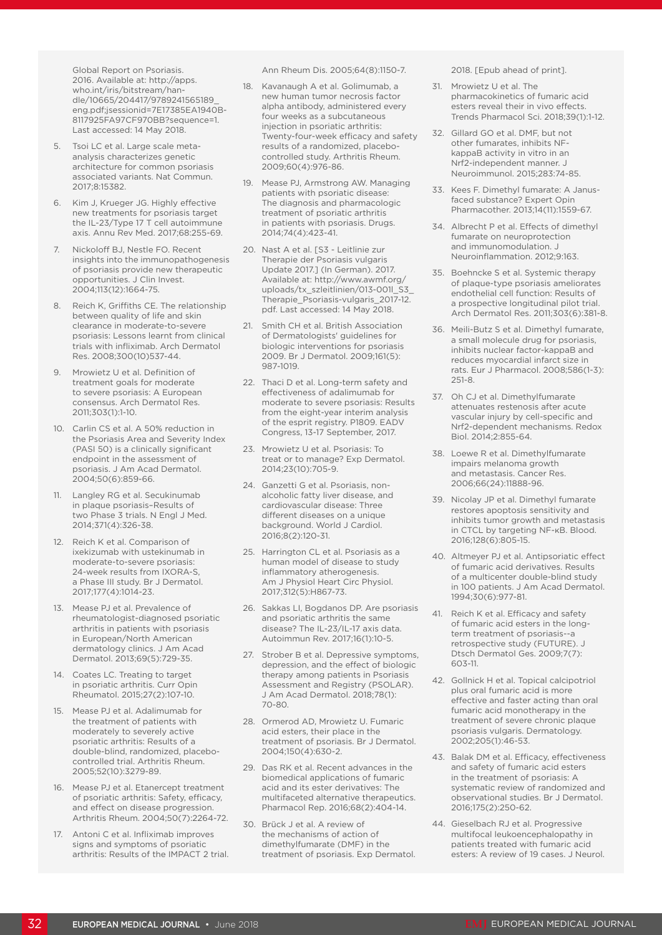Global Report on Psoriasis. 2016. Available at: http://apps. who.int/iris/bitstream/handle/10665/204417/9789241565189\_ eng.pdf;jsessionid=7E17385EA1940B-8117925FA97CF970BB?sequence=1. Last accessed: 14 May 2018.

- Tsoi LC et al. Large scale metaanalysis characterizes genetic architecture for common psoriasis associated variants. Nat Commun. 2017;8:15382.
- 6. Kim J, Krueger JG. Highly effective new treatments for psoriasis target the IL-23/Type 17 T cell autoimmune axis. Annu Rev Med. 2017;68:255-69.
- 7. Nickoloff BJ, Nestle FO. Recent insights into the immunopathogenesis of psoriasis provide new therapeutic opportunities. J Clin Invest. 2004;113(12):1664-75.
- 8. Reich K, Griffiths CE. The relationship between quality of life and skin clearance in moderate-to-severe psoriasis: Lessons learnt from clinical trials with infliximab. Arch Dermatol Res. 2008;300(10)537-44.
- Mrowietz U et al. Definition of treatment goals for moderate to severe psoriasis: A European consensus. Arch Dermatol Res. 2011;303(1):1-10.
- 10. Carlin CS et al. A 50% reduction in the Psoriasis Area and Severity Index (PASI 50) is a clinically significant endpoint in the assessment of psoriasis. J Am Acad Dermatol. 2004;50(6):859-66.
- 11. Langley RG et al. Secukinumab in plaque psoriasis–Results of two Phase 3 trials. N Engl J Med. 2014;371(4):326-38.
- 12. Reich K et al. Comparison of ixekizumab with ustekinumab in moderate-to-severe psoriasis: 24-week results from IXORA-S, a Phase III study. Br J Dermatol. 2017;177(4):1014-23.
- 13. Mease PJ et al. Prevalence of rheumatologist-diagnosed psoriatic arthritis in patients with psoriasis in European/North American dermatology clinics. J Am Acad Dermatol. 2013;69(5):729-35.
- 14. Coates LC. Treating to target in psoriatic arthritis. Curr Opin Rheumatol. 2015;27(2):107-10.
- 15. Mease PJ et al. Adalimumab for the treatment of patients with moderately to severely active psoriatic arthritis: Results of a double-blind, randomized, placebocontrolled trial. Arthritis Rheum. 2005;52(10):3279-89.
- 16. Mease PJ et al. Etanercept treatment of psoriatic arthritis: Safety, efficacy, and effect on disease progression. Arthritis Rheum. 2004;50(7):2264-72.
- 17. Antoni C et al. Infliximab improves signs and symptoms of psoriatic arthritis: Results of the IMPACT 2 trial.

Ann Rheum Dis. 2005;64(8):1150-7.

- 18. Kavanaugh A et al. Golimumab, a new human tumor necrosis factor alpha antibody, administered every four weeks as a subcutaneous injection in psoriatic arthritis: Twenty-four-week efficacy and safety results of a randomized, placebocontrolled study. Arthritis Rheum. 2009;60(4):976-86.
- 19. Mease PJ, Armstrong AW. Managing patients with psoriatic disease: The diagnosis and pharmacologic treatment of psoriatic arthritis in patients with psoriasis. Drugs. 2014;74(4):423-41.
- 20. Nast A et al. [S3 Leitlinie zur Therapie der Psoriasis vulgaris Update 2017.] (In German). 2017. Available at: http://www.awmf.org/ uploads/tx\_szleitlinien/013-001l\_S3 Therapie\_Psoriasis-vulgaris\_2017-12. pdf. Last accessed: 14 May 2018.
- 21. Smith CH et al. British Association of Dermatologists' guidelines for biologic interventions for psoriasis 2009. Br J Dermatol. 2009;161(5): 987-1019.
- 22. Thaci D et al. Long-term safety and effectiveness of adalimumab for moderate to severe psoriasis: Results from the eight-year interim analysis of the esprit registry. P1809. EADV Congress, 13-17 September, 2017.
- 23. Mrowietz U et al. Psoriasis: To treat or to manage? Exp Dermatol. 2014;23(10):705-9.
- 24. Ganzetti G et al. Psoriasis, nonalcoholic fatty liver disease, and cardiovascular disease: Three different diseases on a unique background. World J Cardiol. 2016;8(2):120-31.
- 25. Harrington CL et al. Psoriasis as a human model of disease to study inflammatory atherogenesis. Am J Physiol Heart Circ Physiol. 2017;312(5):H867-73.
- 26. Sakkas LI, Bogdanos DP. Are psoriasis and psoriatic arthritis the same disease? The IL-23/IL-17 axis data. Autoimmun Rev. 2017;16(1):10-5.
- 27. Strober B et al. Depressive symptoms, depression, and the effect of biologic therapy among patients in Psoriasis Assessment and Registry (PSOLAR). J Am Acad Dermatol. 2018;78(1): 70-80.
- 28. Ormerod AD, Mrowietz U. Fumaric acid esters, their place in the treatment of psoriasis. Br J Dermatol. 2004;150(4):630-2.
- 29. Das RK et al. Recent advances in the biomedical applications of fumaric acid and its ester derivatives: The multifaceted alternative therapeutics. Pharmacol Rep. 2016;68(2):404-14.
- 30. Brück J et al. A review of the mechanisms of action of dimethylfumarate (DMF) in the treatment of psoriasis. Exp Dermatol.

2018. [Epub ahead of print].

- 31. Mrowietz U et al. The pharmacokinetics of fumaric acid esters reveal their in vivo effects. Trends Pharmacol Sci. 2018;39(1):1-12.
- 32. Gillard GO et al. DMF, but not other fumarates, inhibits NFkappaB activity in vitro in an Nrf2-independent manner. J Neuroimmunol. 2015;283:74-85.
- 33. Kees F. Dimethyl fumarate: A Janusfaced substance? Expert Opin Pharmacother. 2013;14(11):1559-67.
- 34. Albrecht P et al. Effects of dimethyl fumarate on neuroprotection and immunomodulation. J Neuroinflammation. 2012;9:163.
- 35. Boehncke S et al. Systemic therapy of plaque-type psoriasis ameliorates endothelial cell function: Results of a prospective longitudinal pilot trial. Arch Dermatol Res. 2011;303(6):381-8.
- 36. Meili-Butz S et al. Dimethyl fumarate, a small molecule drug for psoriasis, inhibits nuclear factor-kappaB and reduces myocardial infarct size in rats. Eur J Pharmacol. 2008;586(1-3): 251-8.
- 37. Oh CJ et al. Dimethylfumarate attenuates restenosis after acute vascular injury by cell-specific and Nrf2-dependent mechanisms. Redox Biol. 2014;2:855-64.
- 38. Loewe R et al. Dimethylfumarate impairs melanoma growth and metastasis. Cancer Res. 2006;66(24):11888-96.
- 39. Nicolay JP et al. Dimethyl fumarate restores apoptosis sensitivity and inhibits tumor growth and metastasis in CTCL by targeting NF-κB. Blood. 2016;128(6):805-15.
- 40. Altmeyer PJ et al. Antipsoriatic effect of fumaric acid derivatives. Results of a multicenter double-blind study in 100 patients. J Am Acad Dermatol. 1994;30(6):977-81.
- 41. Reich K et al. Efficacy and safety of fumaric acid esters in the longterm treatment of psoriasis--a retrospective study (FUTURE). J Dtsch Dermatol Ges. 2009;7(7): 603-11.
- 42. Gollnick H et al. Topical calcipotriol plus oral fumaric acid is more effective and faster acting than oral fumaric acid monotherapy in the treatment of severe chronic plaque psoriasis vulgaris. Dermatology. 2002;205(1):46-53.
- 43. Balak DM et al. Efficacy, effectiveness and safety of fumaric acid esters in the treatment of psoriasis: A systematic review of randomized and observational studies. Br J Dermatol. 2016;175(2):250-62.
- 44. Gieselbach RJ et al. Progressive multifocal leukoencephalopathy in patients treated with fumaric acid esters: A review of 19 cases. J Neurol.